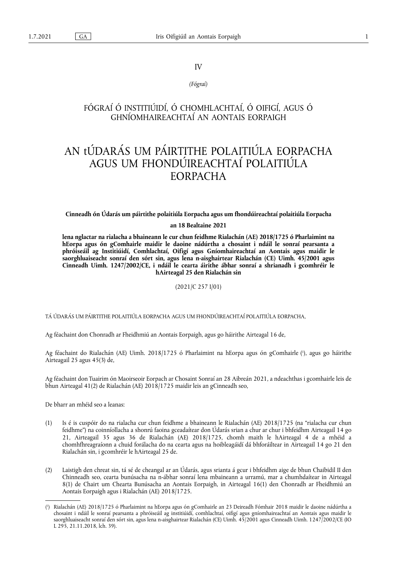# IV

*(Fógraí)*

# FÓGRAÍ Ó INSTITIÚIDÍ, Ó CHOMHLACHTAÍ, Ó OIFIGÍ, AGUS Ó GHNÍOMHAIREACHTAÍ AN AONTAIS EORPAIGH

# AN tÚDARÁS UM PÁIRTITHE POLAITIÚLA EORPACHA AGUS UM FHONDÚIREACHTAÍ POLAITIÚLA EORPACHA

# **Cinneadh ón Údarás um páirtithe polaitiúla Eorpacha agus um fhondúireachtaí polaitiúla Eorpacha**

#### **an 18 Bealtaine 2021**

**lena nglactar na rialacha a bhaineann le cur chun feidhme Rialachán (AE) 2018/1725 ó Pharlaimint na hEorpa agus ón gComhairle maidir le daoine nádúrtha a chosaint i ndáil le sonraí pearsanta a phróiseáil ag Institiúidí, Comhlachtaí, Oifigí agus Gníomhaireachtaí an Aontais agus maidir le saorghluaiseacht sonraí den sórt sin, agus lena n-aisghairtear Rialachán (CE) Uimh. 45/2001 agus Cinneadh Uimh. 1247/2002/CE, i ndáil le cearta áirithe ábhar sonraí a shrianadh i gcomhréir le hAirteagal 25 den Rialachán sin** 

(2021/C 257 I/01)

TÁ ÚDARÁS UM PÁIRTITHE POLAITIÚLA EORPACHA AGUS UM FHONDÚIREACHTAÍ POLAITIÚLA EORPACHA,

Ag féachaint don Chonradh ar Fheidhmiú an Aontais Eorpaigh, agus go háirithe Airteagal 16 de,

<span id="page-0-1"></span>Ag féachaint do Rialachán (AE) Uimh. 2018/1725 ó Pharlaimint na hEorpa agus ón gComhairle [\(](#page-0-0) 1 ), agus go háirithe Airteagail 25 agus 45(3) de,

Ag féachaint don Tuairim ón Maoirseoir Eorpach ar Chosaint Sonraí an 28 Aibreán 2021, a ndeachthas i gcomhairle leis de bhun Airteagal 41(2) de Rialachán (AE) 2018/1725 maidir leis an gCinneadh seo,

De bharr an mhéid seo a leanas:

- (1) Is é is cuspóir do na rialacha cur chun feidhme a bhaineann le Rialachán (AE) 2018/1725 (na "rialacha cur chun feidhme") na coinníollacha a shonrú faoina gceadaítear don Údarás srian a chur ar chur i bhfeidhm Airteagail 14 go 21, Airteagail 35 agus 36 de Rialachán (AE) 2018/1725, chomh maith le hAirteagal 4 de a mhéid a chomhfhreagraíonn a chuid forálacha do na cearta agus na hoibleagáidí dá bhforáiltear in Airteagail 14 go 21 den Rialachán sin, i gcomhréir le hAirteagal 25 de.
- (2) Laistigh den chreat sin, tá sé de cheangal ar an Údarás, agus srianta á gcur i bhfeidhm aige de bhun Chaibidil II den Chinneadh seo, cearta bunúsacha na n-ábhar sonraí lena mbaineann a urramú, mar a chumhdaítear in Airteagal 8(1) de Chairt um Chearta Bunúsacha an Aontais Eorpaigh, in Airteagal 16(1) den Chonradh ar Fheidhmiú an Aontais Eorpaigh agus i Rialachán (AE) 2018/1725.

<span id="page-0-0"></span>[<sup>\(</sup>](#page-0-1) 1 ) Rialachán (AE) 2018/1725 ó Pharlaimint na hEorpa agus ón gComhairle an 23 Deireadh Fómhair 2018 maidir le daoine nádúrtha a chosaint i ndáil le sonraí pearsanta a phróiseáil ag institiúidí, comhlachtaí, oifigí agus gníomhaireachtaí an Aontais agus maidir le saorghluaiseacht sonraí den sórt sin, agus lena n-aisghairtear Rialachán (CE) Uimh. 45/2001 agus Cinneadh Uimh. 1247/2002/CE (IO L 295, 21.11.2018, lch. 39).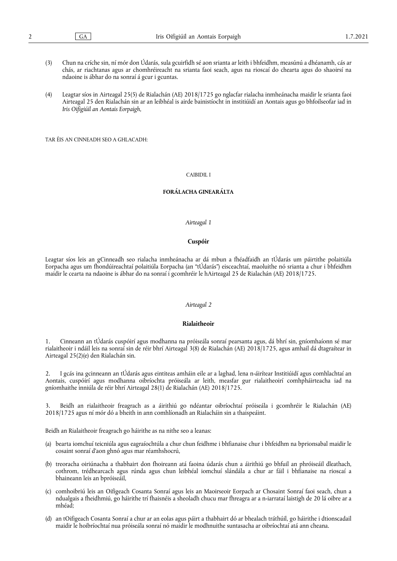- (3) Chun na críche sin, ní mór don Údarás, sula gcuirfidh sé aon srianta ar leith i bhfeidhm, measúnú a dhéanamh, cás ar chás, ar riachtanas agus ar chomhréireacht na srianta faoi seach, agus na rioscaí do chearta agus do shaoirsí na ndaoine is ábhar do na sonraí á gcur i gcuntas.
- (4) Leagtar síos in Airteagal 25(5) de Rialachán (AE) 2018/1725 go nglacfar rialacha inmheánacha maidir le srianta faoi Airteagal 25 den Rialachán sin ar an leibhéal is airde bainistíocht in institiúidí an Aontais agus go bhfoilseofar iad in *Iris Oifigiúil an Aontais Eorpaigh*,

TAR ÉIS AN CINNEADH SEO A GHLACADH:

#### CAIBIDIL I

#### **FORÁLACHA GINEARÁLTA**

# *Airteagal 1*

#### **Cuspóir**

Leagtar síos leis an gCinneadh seo rialacha inmheánacha ar dá mbun a fhéadfaidh an tÚdarás um páirtithe polaitiúla Eorpacha agus um fhondúireachtaí polaitiúla Eorpacha (an "tÚdarás") eisceachtaí, maoluithe nó srianta a chur i bhfeidhm maidir le cearta na ndaoine is ábhar do na sonraí i gcomhréir le hAirteagal 25 de Rialachán (AE) 2018/1725.

#### *Airteagal 2*

# **Rialaitheoir**

1. Cinneann an tÚdarás cuspóirí agus modhanna na próiseála sonraí pearsanta agus, dá bhrí sin, gníomhaíonn sé mar rialaitheoir i ndáil leis na sonraí sin de réir bhrí Airteagal 3(8) de Rialachán (AE) 2018/1725, agus amhail dá dtagraítear in Airteagal 25(2)(e) den Rialachán sin.

2. I gcás ina gcinneann an tÚdarás agus eintiteas amháin eile ar a laghad, lena n-áirítear Institiúidí agus comhlachtaí an Aontais, cuspóirí agus modhanna oibríochta próiseála ar leith, measfar gur rialaitheoirí comhpháirteacha iad na gníomhaithe inniúla de réir bhrí Airteagal 28(1) de Rialachán (AE) 2018/1725.

3. Beidh an rialaitheoir freagrach as a áirithiú go ndéantar oibríochtaí próiseála i gcomhréir le Rialachán (AE) 2018/1725 agus ní mór dó a bheith in ann comhlíonadh an Rialacháin sin a thaispeáint.

Beidh an Rialaitheoir freagrach go háirithe as na nithe seo a leanas:

- (a) bearta iomchuí teicniúla agus eagraíochtúla a chur chun feidhme i bhfianaise chur i bhfeidhm na bprionsabal maidir le cosaint sonraí d'aon ghnó agus mar réamhshocrú,
- (b) treoracha oiriúnacha a thabhairt don fhoireann atá faoina údarás chun a áirithiú go bhfuil an phróiseáil dleathach, cothrom, trédhearcach agus rúnda agus chun leibhéal iomchuí slándála a chur ar fáil i bhfianaise na rioscaí a bhaineann leis an bpróiseáil,
- (c) comhoibriú leis an Oifigeach Cosanta Sonraí agus leis an Maoirseoir Eorpach ar Chosaint Sonraí faoi seach, chun a ndualgais a fheidhmiú, go háirithe trí fhaisnéis a sheoladh chucu mar fhreagra ar a n-iarrataí laistigh de 20 lá oibre ar a mhéad;
- (d) an tOifigeach Cosanta Sonraí a chur ar an eolas agus páirt a thabhairt dó ar bhealach tráthúil, go háirithe i dtionscadail maidir le hoibríochtaí nua próiseála sonraí nó maidir le modhnuithe suntasacha ar oibríochtaí atá ann cheana.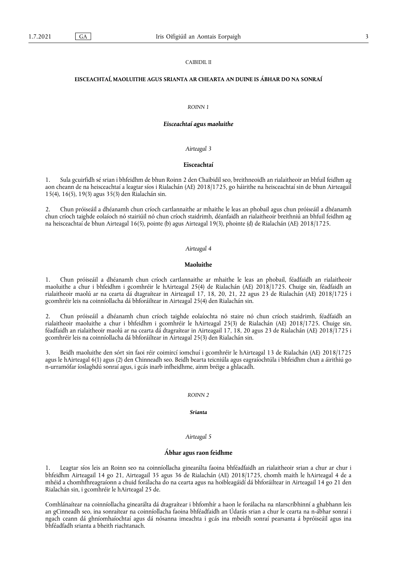#### CAIBIDIL II

# **EISCEACHTAÍ, MAOLUITHE AGUS SRIANTA AR CHEARTA AN DUINE IS ÁBHAR DO NA SONRAÍ**

#### *ROINN 1*

#### *Eisceachtaí agus maoluithe*

# *Airteagal 3*

# **Eisceachtaí**

1. Sula gcuirfidh sé srian i bhfeidhm de bhun Roinn 2 den Chaibidil seo, breithneoidh an rialaitheoir an bhfuil feidhm ag aon cheann de na heisceachtaí a leagtar síos i Rialachán (AE) 2018/1725, go háirithe na heisceachtaí sin de bhun Airteagail 15(4), 16(5), 19(3) agus 35(3) den Rialachán sin.

2. Chun próiseáil a dhéanamh chun críoch cartlannaithe ar mhaithe le leas an phobail agus chun próiseáil a dhéanamh chun críoch taighde eolaíoch nó stairiúil nó chun críoch staidrimh, déanfaidh an rialaitheoir breithniú an bhfuil feidhm ag na heisceachtaí de bhun Airteagal 16(5), pointe (b) agus Airteagal 19(3), phointe (d) de Rialachán (AE) 2018/1725.

#### *Airteagal 4*

#### **Maoluithe**

1. Chun próiseáil a dhéanamh chun críoch cartlannaithe ar mhaithe le leas an phobail, féadfaidh an rialaitheoir maoluithe a chur i bhfeidhm i gcomhréir le hAirteagal 25(4) de Rialachán (AE) 2018/1725. Chuige sin, féadfaidh an rialaitheoir maolú ar na cearta dá dtagraítear in Airteagail 17, 18, 20, 21, 22 agus 23 de Rialachán (AE) 2018/1725 i gcomhréir leis na coinníollacha dá bhforáiltear in Airteagal 25(4) den Rialachán sin.

2. Chun próiseáil a dhéanamh chun críoch taighde eolaíochta nó staire nó chun críoch staidrimh, féadfaidh an rialaitheoir maoluithe a chur i bhfeidhm i gcomhréir le hAirteagal 25(3) de Rialachán (AE) 2018/1725. Chuige sin, féadfaidh an rialaitheoir maolú ar na cearta dá dtagraítear in Airteagail 17, 18, 20 agus 23 de Rialachán (AE) 2018/1725 i gcomhréir leis na coinníollacha dá bhforáiltear in Airteagal 25(3) den Rialachán sin.

3. Beidh maoluithe den sórt sin faoi réir coimircí iomchuí i gcomhréir le hAirteagal 13 de Rialachán (AE) 2018/1725 agus le hAirteagal 6(1) agus (2) den Chinneadh seo. Beidh bearta teicniúla agus eagraíochtúla i bhfeidhm chun a áirithiú go n-urramófar íoslaghdú sonraí agus, i gcás inarb infheidhme, ainm bréige a ghlacadh.

#### *ROINN 2*

#### *Srianta*

#### *Airteagal 5*

#### **Ábhar agus raon feidhme**

1. Leagtar síos leis an Roinn seo na coinníollacha ginearálta faoina bhféadfaidh an rialaitheoir srian a chur ar chur i bhfeidhm Airteagail 14 go 21, Airteagail 35 agus 36 de Rialachán (AE) 2018/1725, chomh maith le hAirteagal 4 de a mhéid a chomhfhreagraíonn a chuid forálacha do na cearta agus na hoibleagáidí dá bhforáiltear in Airteagail 14 go 21 den Rialachán sin, i gcomhréir le hAirteagal 25 de.

Comhlánaítear na coinníollacha ginearálta dá dtagraítear i bhfomhír a haon le forálacha na nIarscríbhinní a ghabhann leis an gCinneadh seo, ina sonraítear na coinníollacha faoina bhféadfaidh an Údarás srian a chur le cearta na n-ábhar sonraí i ngach ceann dá ghníomhaíochtaí agus dá nósanna imeachta i gcás ina mbeidh sonraí pearsanta á bpróiseáil agus ina bhféadfadh srianta a bheith riachtanach.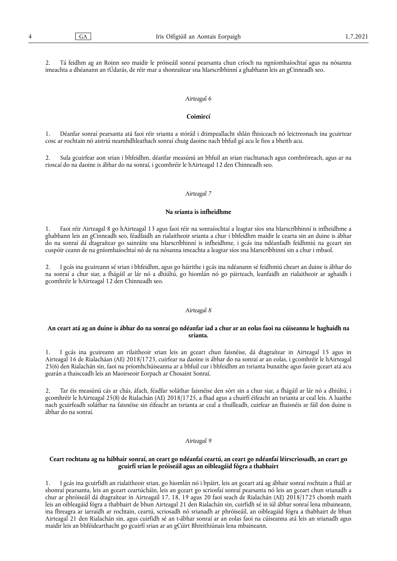2. Tá feidhm ag an Roinn seo maidir le próiseáil sonraí pearsanta chun críoch na ngníomhaíochtaí agus na nósanna imeachta a dhéanann an tÚdarás, de réir mar a shonraítear sna hIarscríbhinní a ghabhann leis an gCinneadh seo.

#### *Airteagal 6*

#### **Coimircí**

1. Déanfar sonraí pearsanta atá faoi réir srianta a stóráil i dtimpeallacht shlán fhisiceach nó leictreonach ina gcuirtear cosc ar rochtain nó aistriú neamhdhleathach sonraí chuig daoine nach bhfuil gá acu le fios a bheith acu.

2. Sula gcuirfear aon srian i bhfeidhm, déanfar measúnú an bhfuil an srian riachtanach agus comhréireach, agus ar na rioscaí do na daoine is ábhar do na sonraí, i gcomhréir le hAirteagal 12 den Chinneadh seo.

#### *Airteagal 7*

#### **Na srianta is infheidhme**

1. Faoi réir Airteagal 8 go hAirteagal 13 agus faoi réir na sonraíochtaí a leagtar síos sna hIarscríbhinní is infheidhme a ghabhann leis an gCinneadh seo, féadfaidh an rialaitheoir srianta a chur i bhfeidhm maidir le cearta sin an duine is ábhar do na sonraí dá dtagraítear go sainráite sna hIarscríbhinní is infheidhme, i gcás ina ndéanfadh feidhmiú na gceart sin cuspóir ceann de na gníomhaíochtaí nó de na nósanna imeachta a leagtar síos sna hIarscríbhinní sin a chur i mbaol.

2. I gcás ina gcuireann sé srian i bhfeidhm, agus go háirithe i gcás ina ndéanann sé feidhmiú cheart an duine is ábhar do na sonraí a chur siar, a fhágáil ar lár nó a dhiúltú, go hiomlán nó go páirteach, leanfaidh an rialaitheoir ar aghaidh i gcomhréir le hAirteagal 12 den Chinneadh seo.

#### *Airteagal 8*

# **An ceart atá ag an duine is ábhar do na sonraí go ndéanfar iad a chur ar an eolas faoi na cúiseanna le haghaidh na srianta.**

1. I gcás ina gcuireann an rilaitheoir srian leis an gceart chun faisnéise, dá dtagraítear in Airteagal 15 agus in Airteagal 16 de Rialacháan (AE) 2018/1725, cuirfear na daoine is ábhar do na sonraí ar an eolas, i gcomhréir le hAirteagal 25(6) den Rialachán sin, faoi na príomhchúiseanna ar a bhfuil cur i bhfeidhm an tsrianta bunaithe agus faoin gceart atá acu gearán a thaisceadh leis an Maoirseoir Eorpach ar Chosaint Sonraí.

2. Tar éis measúnú cás ar chás, áfach, féadfar soláthar faisnéise den sórt sin a chur siar, a fhágáil ar lár nó a dhiúltú, i gcomhréir le hAirteagal 25(8) de Rialachán (AE) 2018/1725, a fhad agus a chuirfí éifeacht an tsrianta ar ceal leis. A luaithe nach gcuirfeadh soláthar na faisnéise sin éifeacht an tsrianta ar ceal a thuilleadh, cuirfear an fhaisnéis ar fáil don duine is ábhar do na sonraí.

#### *Airteagal 9*

# **Ceart rochtana ag na hábhair sonraí, an ceart go ndéanfaí ceartú, an ceart go ndéanfaí léirscriosadh, an ceart go gcuirfí srian le próiseáil agus an oibleagáid fógra a thabhairt**

1. I gcás ina gcuirfidh an rialaitheoir srian, go hiomlán nó i bpáirt, leis an gceart atá ag ábhair sonraí rochtain a fháil ar shonraí pearsanta, leis an gceart ceartúcháin, leis an gceart go scriosfaí sonraí pearsanta nó leis an gceart chun srianadh a chur ar phróiseáil dá dtagraítear in Airteagail 17, 18, 19 agus 20 faoi seach de Rialachán (AE) 2018/1725 chomh maith leis an oibleagáid fógra a thabhairt de bhun Airteagal 21 den Rialachán sin, cuirfidh sé in iúl ábhar sonraí lena mbaineann, ina fhreagra ar iarraidh ar rochtain, ceartú, scriosadh nó srianadh ar phróiseáil, an oibleagáid fógra a thabhairt de bhun Airteagal 21 den Rialachán sin, agus cuirfidh sé an t-ábhar sonraí ar an eolas faoi na cúiseanna atá leis an srianadh agus maidir leis an bhféidearthacht go gcuirfí srian ar an gCúirt Bhreithiúnais lena mbaineann.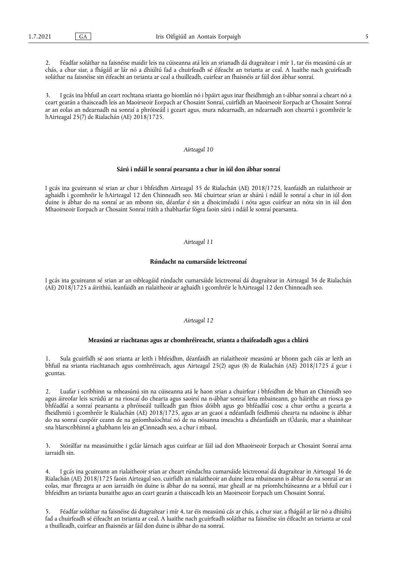2. Féadfar soláthar na faisnéise maidir leis na cúiseanna atá leis an srianadh dá dtagraítear i mír 1, tar éis measúnú cás ar chás, a chur siar, a fhágáil ar lár nó a dhiúltú fad a chuirfeadh sé éifeacht an tsrianta ar ceal. A luaithe nach gcuirfeadh soláthar na faisnéise sin éifeacht an tsrianta ar ceal a thuilleadh, cuirfear an fhaisnéis ar fáil don ábhar sonraí.

3. I gcás ina bhfuil an ceart rochtana srianta go hiomlán nó i bpáirt agus inar fheidhmigh an t-ábhar sonraí a cheart nó a ceart gearán a thaisceadh leis an Maoirseoir Eorpach ar Chosaint Sonraí, cuirfidh an Maoirseoir Eorpach ar Chosaint Sonraí ar an eolas an ndearnadh na sonraí a phróiseáil i gceart agus, mura ndearnadh, an ndearnadh aon cheartú i gcomhréir le hAirteagal 25(7) de Rialachán (AE) 2018/1725.

#### *Airteagal 10*

#### **Sárú i ndáil le sonraí pearsanta a chur in iúl don ábhar sonraí**

I gcás ina gcuireann sé srian ar chur i bhfeidhm Airteagal 35 de Rialachán (AE) 2018/1725, leanfaidh an rialaitheoir ar aghaidh i gcomhréir le hAirteagal 12 den Chinneadh seo. Má chuirtear srian ar shárú i ndáil le sonraí a chur in iúl don duine is ábhar do na sonraí ar an mbonn sin, déanfar é sin a dhoiciméadú i nóta agus cuirfear an nóta sin in iúl don Mhaoirseoir Eorpach ar Chosaint Sonraí tráth a thabharfar fógra faoin sárú i ndáil le sonraí pearsanta.

#### *Airteagal 11*

#### **Rúndacht na cumarsáide leictreonaí**

I gcás ina gcuireann sé srian ar an oibleagáid rúndacht cumarsáide leictreonaí dá dtagraítear in Airteagal 36 de Rialachán (AE) 2018/1725 a áirithiú, leanfaidh an rialaitheoir ar aghaidh i gcomhréir le hAirteagal 12 den Chinneadh seo.

#### *Airteagal 12*

#### **Measúnú ar riachtanas agus ar chomhréireacht, srianta a thaifeadadh agus a chlárú**

1. Sula gcuirfidh sé aon srianta ar leith i bhfeidhm, déanfaidh an rialaitheoir measúnú ar bhonn gach cáis ar leith an bhfuil na srianta riachtanach agus comhréireach, agus Airteagal 25(2) agus (8) de Rialachán (AE) 2018/1725 á gcur i gcuntas.

2. Luafar i scríbhinn sa mheasúnú sin na cúiseanna atá le haon srian a chuirfear i bhfeidhm de bhun an Chinnidh seo agus áireofar leis scrúdú ar na rioscaí do chearta agus saoirsí na n-ábhar sonraí lena mbaineann, go háirithe an riosca go bhféadfaí a sonraí pearsanta a phróiseáil tuilleadh gan fhios dóibh agus go bhféadfaí cosc a chur orthu a gcearta a fheidhmiú i gcomhréir le Rialachán (AE) 2018/1725, agus ar an gcaoi a ndéanfadh feidhmiú chearta na ndaoine is ábhar do na sonraí cuspóir ceann de na gníomhaíochtaí nó de na nósanna imeachta a dhéanfaidh an tÚdarás, mar a shainítear sna hIarscríbhinní a ghabhann leis an gCinneadh seo, a chur i mbaol.

3. Stórálfar na measúnuithe i gclár lárnach agus cuirfear ar fáil iad don Mhaoirseoir Eorpach ar Chosaint Sonraí arna iarraidh sin.

4. I gcás ina gcuireann an rialaitheoir srian ar cheart rúndachta cumarsáide leictreonaí dá dtagraítear in Airteagal 36 de Rialachán (AE) 2018/1725 faoin Airteagal seo, cuirfidh an rialaitheoir an duine lena mbaineann is ábhar do na sonraí ar an eolas, mar fhreagra ar aon iarraidh ón duine is ábhar do na sonraí, mar gheall ar na príomhchúiseanna ar a bhfuil cur i bhfeidhm an tsrianta bunaithe agus an ceart gearán a thaisceadh leis an Maoirseoir Eorpach um Chosaint Sonraí.

5. Féadfar soláthar na faisnéise dá dtagraítear i mír 4, tar éis measúnú cás ar chás, a chur siar, a fhágáil ar lár nó a dhiúltú fad a chuirfeadh sé éifeacht an tsrianta ar ceal. A luaithe nach gcuirfeadh soláthar na faisnéise sin éifeacht an tsrianta ar ceal a thuilleadh, cuirfear an fhaisnéis ar fáil don duine is ábhar do na sonraí.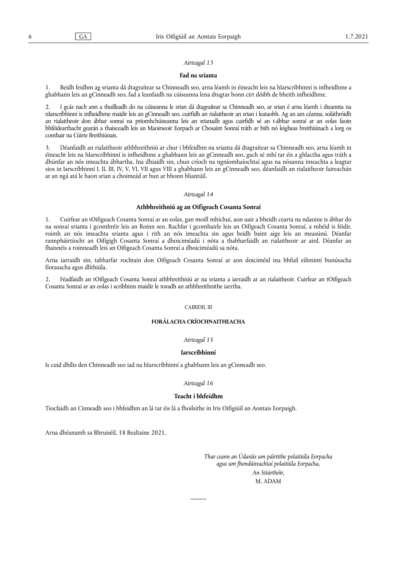#### *Airteagal 13*

#### **Fad na srianta**

1. Beidh feidhm ag srianta dá dtagraítear sa Chinneadh seo, arna léamh in éineacht leis na hIarscríbhinní is infheidhme a ghabhann leis an gCinneadh seo, fad a leanfaidh na cúiseanna lena dtugtar bonn cirt dóibh de bheith infheidhme.

2. I gcás nach ann a thuilleadh do na cúiseanna le srian dá dtagraítear sa Chinneadh seo, ar srian é arna léamh i dteannta na nIarscríbhinní is infheidhme maidir leis an gCinneadh seo, cuirfidh an rialaitheoir an srian i leataobh. Ag an am céanna, soláthróidh an rialaitheoir don ábhar sonraí na príomhchúiseanna leis an srianadh agus cuirfidh sé an t-ábhar sonraí ar an eolas faoin bhféidearthacht gearán a thaisceadh leis an Maoirseoir Eorpach ar Chosaint Sonraí tráth ar bith nó leigheas breithiúnach a lorg os comhair na Cúirte Breithiúnais.

3. Déanfaidh an rialaitheoir athbhreithniú ar chur i bhfeidhm na srianta dá dtagraítear sa Chinneadh seo, arna léamh in éineacht leis na hIarscríbhinní is infheidhme a ghabhann leis an gCinneadh seo, gach sé mhí tar éis a ghlactha agus tráth a dhúnfar an nós imeachta ábhartha. Ina dhiaidh sin, chun críoch na ngníomhaíochtaí agus na nósanna imeachta a leagtar síos in Iarscríbhinní I, II, III, IV, V, VI, VII agus VIII a ghabhann leis an gCinneadh seo, déanfaidh an rialaitheoir faireachán ar an ngá atá le haon srian a choimeád ar bun ar bhonn bliantúil.

#### *Airteagal 14*

#### **Athbhreithniú ag an Oifigeach Cosanta Sonraí**

1. Cuirfear an tOifigeach Cosanta Sonraí ar an eolas, gan moill mhíchuí, aon uair a bheidh cearta na ndaoine is ábhar do na sonraí srianta i gcomhréir leis an Roinn seo. Rachfar i gcomhairle leis an Oifigeach Cosanta Sonraí, a mhéid is féidir, roimh an nós imeachta srianta agus i rith an nós imeachta sin agus beidh baint aige leis an measúnú. Déanfar rannpháirtíocht an Oifigigh Cosanta Sonraí a dhoiciméadú i nóta a thabharfaidh an rialaitheoir ar aird. Déanfar an fhaisnéis a roinneadh leis an Oifigeach Cosanta Sonraí a dhoiciméadú sa nóta.

Arna iarraidh sin, tabharfar rochtain don Oifigeach Cosanta Sonraí ar aon doiciméid ina bhfuil eilimintí bunúsacha fíorasacha agus dlíthiúla.

2. Féadfaidh an tOifigeach Cosanta Sonraí athbhreithniú ar na srianta a iarraidh ar an rialaitheoir. Cuirfear an tOifigeach Cosanta Sonraí ar an eolas i scríbhinn maidir le toradh an athbhreithnithe iarrtha.

# CAIBIDIL III

#### **FORÁLACHA CRÍOCHNAITHEACHA**

#### *Airteagal 15*

#### **Iarscríbhinní**

Is cuid dhílis den Chinneadh seo iad na hIarscríbhinní a ghabhann leis an gCinneadh seo.

#### *Airteagal 16*

#### **Teacht i bhfeidhm**

Tiocfaidh an Cinneadh seo i bhfeidhm an lá tar éis lá a fhoilsithe in Iris Oifigiúil an Aontais Eorpaigh.

Arna dhéanamh sa Bhruiséil, 18 Bealtaine 2021.

*Thar ceann an Údaráis um páirtithe polaitiúla Eorpacha agus um fhondúireachtaí polaitiúla Eorpacha, An Stiúrthóir,* M. ADAM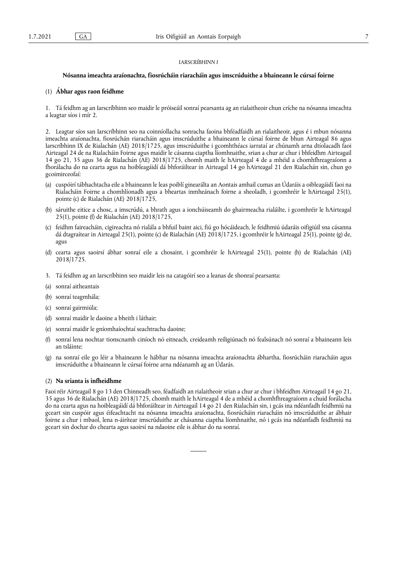# *IARSCRÍBHINN I*

#### **Nósanna imeachta araíonachta, fiosrúcháin riaracháin agus imscrúduithe a bhaineann le cúrsaí foirne**

# (1) **Ábhar agus raon feidhme**

1. Tá feidhm ag an Iarscríbhinn seo maidir le próiseáil sonraí pearsanta ag an rialaitheoir chun críche na nósanna imeachta a leagtar síos i mír 2.

2. Leagtar síos san Iarscríbhinn seo na coinníollacha sonracha faoina bhféadfaidh an rialaitheoir, agus é i mbun nósanna imeachta araíonachta, fiosrúchán riaracháin agus imscrúduithe a bhaineann le cúrsaí foirne de bhun Airteagal 86 agus Iarscríbhinn IX de Rialachán (AE) 2018/1725, agus imscrúduithe i gcomhthéacs iarrataí ar chúnamh arna dtíolacadh faoi Airteagal 24 de na Rialacháin Foirne agus maidir le cásanna ciaptha líomhnaithe, srian a chur ar chur i bhfeidhm Airteagail 14 go 21, 35 agus 36 de Rialachán (AE) 2018/1725, chomh maith le hAirteagal 4 de a mhéid a chomhfhreagraíonn a fhorálacha do na cearta agus na hoibleagáidí dá bhforáiltear in Airteagal 14 go hAirteagal 21 den Rialachán sin, chun go gcoimirceofaí:

- (a) cuspóirí tábhachtacha eile a bhaineann le leas poiblí ginearálta an Aontais amhail cumas an Údaráis a oibleagáidí faoi na Rialacháin Foirne a chomhlíonadh agus a bheartas inmheánach foirne a sheoladh, i gcomhréir le hAirteagal 25(1), pointe (c) de Rialachán (AE) 2018/1725,
- (b) sáruithe eitice a chosc, a imscrúdú, a bhrath agus a ionchúiseamh do ghairmeacha rialáilte, i gcomhréir le hAirteagal 25(1), pointe (f) de Rialachán (AE) 2018/1725,
- (c) feidhm faireacháin, cigireachta nó rialála a bhfuil baint aici, fiú go hócáideach, le feidhmiú údaráis oifigiúil sna cásanna dá dtagraítear in Airteagal 25(1), pointe (c) de Rialachán (AE) 2018/1725, i gcomhréir le hAirteagal 25(1), pointe (g) de, agus
- (d) cearta agus saoirsí ábhar sonraí eile a chosaint, i gcomhréir le hAirteagal 25(1), pointe (h) de Rialachán (AE) 2018/1725.
- 3. Tá feidhm ag an Iarscríbhinn seo maidir leis na catagóirí seo a leanas de shonraí pearsanta:
- (a) sonraí aitheantais
- (b) sonraí teagmhála;
- (c) sonraí gairmiúla;
- (d) sonraí maidir le daoine a bheith i láthair;
- (e) sonraí maidir le gníomhaíochtaí seachtracha daoine;
- (f) sonraí lena nochtar tionscnamh ciníoch nó eitneach, creideamh reiligiúnach nó fealsúnach nó sonraí a bhaineann leis an tsláinte;
- (g) na sonraí eile go léir a bhaineann le hábhar na nósanna imeachta araíonachta ábhartha, fiosrúcháin riaracháin agus imscrúduithe a bhaineann le cúrsaí foirne arna ndéanamh ag an Údarás.

#### (2) **Na srianta is infheidhme**

Faoi réir Airteagail 8 go 13 den Chinneadh seo, féadfaidh an rialaitheoir srian a chur ar chur i bhfeidhm Airteagail 14 go 21, 35 agus 36 de Rialachán (AE) 2018/1725, chomh maith le hAirteagal 4 de a mhéid a chomhfhreagraíonn a chuid forálacha do na cearta agus na hoibleagáidí dá bhforáiltear in Airteagail 14 go 21 den Rialachán sin, i gcás ina ndéanfadh feidhmiú na gceart sin cuspóir agus éifeachtacht na nósanna imeachta araíonachta, fiosrúcháin riaracháin nó imscrúduithe ar ábhair foirne a chur i mbaol, lena n-áirítear imscrúduithe ar chásanna ciaptha líomhnaithe, nó i gcás ina ndéanfadh feidhmiú na gceart sin dochar do chearta agus saoirsí na ndaoine eile is ábhar do na sonraí.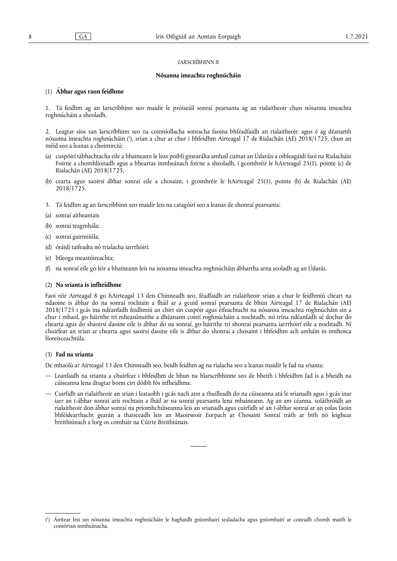#### *IARSCRÍBHINN II*

#### **Nósanna imeachta roghnúcháin**

## (1) **Ábhar agus raon feidhme**

1. Tá feidhm ag an Iarscríbhinn seo maidir le próiseáil sonraí pearsanta ag an rialaitheoir chun nósanna imeachta roghnúcháin a sheoladh.

<span id="page-7-1"></span>2. Leagtar síos san Iarscríbhinn seo na coinníollacha sonracha faoina bhféadfaidh an rialaitheoir, agus é ag déanamh nósanna imeachta roghnúcháin [\(](#page-7-0)'), srian a chur ar chur i bhfeidhm Airteagal 17 de Rialachán (AE) 2018/1725, chun an méid seo a leanas a choimirciú:

- (a) cuspóirí tábhachtacha eile a bhaineann le leas poiblí ginearálta amhail cumas an Údaráis a oibleagáidí faoi na Rialacháin Foirne a chomhlíonadh agus a bheartas inmheánach foirne a sheoladh, i gcomhréir le hAirteagal 25(1), pointe (c) de Rialachán (AE) 2018/1725,
- (b) cearta agus saoirsí ábhar sonraí eile a chosaint, i gcomhréir le hAirteagal 25(1), pointe (h) de Rialachán (AE) 2018/1725.
- 3. Tá feidhm ag an Iarscríbhinn seo maidir leis na catagóirí seo a leanas de shonraí pearsanta:
- (a) sonraí aitheantais
- (b) sonraí teagmhála;
- (c) sonraí gairmiíúla;
- (d) óráidí taifeadta nó trialacha iarrthóirí;
- (e) bileoga meastóireachta;
- (f) na sonraí eile go léir a bhaineann leis na nósanna imeachta roghnúcháin ábhartha arna seoladh ag an Údarás.

#### (2) **Na srianta is infheidhme**

Faoi réir Airteagal 8 go hAirteagal 13 den Chinneadh seo, féadfaidh an rialaitheoir srian a chur le feidhmiú cheart na ndaoine is ábhar do na sonraí rochtain a fháil ar a gcuid sonraí pearsanta de bhun Airteagal 17 de Rialachán (AE) 2018/1725 i gcás ina ndéanfadh feidhmiú an chirt sin cuspóir agus éifeachtacht na nósanna imeachta roghnúcháin sin a chur i mbaol, go háirithe trí mheasúnuithe a dhéanann coistí roghnúcháin a nochtadh, nó trína ndéanfadh sé dochar do chearta agus do shaoirsí daoine eile is ábhar do na sonraí, go háirithe trí shonraí pearsanta iarrthóirí eile a nochtadh. Ní chuirfear an srian ar chearta agus saoirsí daoine eile is ábhar do shonraí a chosaint i bhfeidhm ach amháin in imthosca fíoreisceachtúla.

#### (3) **Fad na srianta**

De mhaolú ar Airteagal 13 den Chinneadh seo, beidh feidhm ag na rialacha seo a leanas maidir le fad na srianta:

- Leanfaidh na srianta a chuirfear i bhfeidhm de bhun na hIarscríbhinne seo de bheith i bhfeidhm fad is a bheidh na cúiseanna lena dtugtar bonn cirt dóibh fós infheidhme.
- Cuirfidh an rialaitheoir an srian i leataobh i gcás nach ann a thuilleadh do na cúiseanna atá le srianadh agus i gcás inar iarr an t-ábhar sonraí arís rochtain a fháil ar na sonraí pearsanta lena mbaineann. Ag an am céanna, soláthróidh an rialaitheoir don ábhar sonraí na príomhchúiseanna leis an srianadh agus cuirfidh sé an t-ábhar sonraí ar an eolas faoin bhféidearthacht gearán a thaisceadh leis an Maoirseoir Eorpach ar Chosaint Sonraí tráth ar bith nó leigheas breithiúnach a lorg os comhair na Cúirte Breithiúnais.

<span id="page-7-0"></span>[<sup>\(</sup>](#page-7-1) 1 ) Áirítear leis sin nósanna imeachta roghnúcháin le haghaidh gníomhairí sealadacha agus gníomhairí ar conradh chomh maith le comórtais inmheánacha.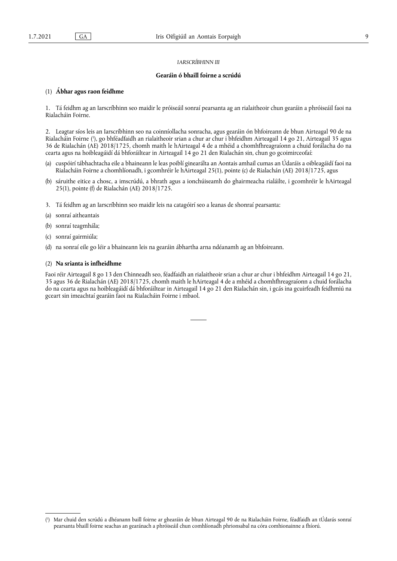# *IARSCRÍBHINN III*

#### **Gearáin ó bhaill foirne a scrúdú**

# (1) **Ábhar agus raon feidhme**

1. Tá feidhm ag an Iarscríbhinn seo maidir le próiseáil sonraí pearsanta ag an rialaitheoir chun gearáin a phróiseáil faoi na Rialacháin Foirne.

<span id="page-8-1"></span>2. Leagtar síos leis an Iarscríbhinn seo na coinníollacha sonracha, agus gearáin ón bhfoireann de bhun Airteagal 90 de na Rialacháin Foirne ( 1 [\),](#page-8-0) go bhféadfaidh an rialaitheoir srian a chur ar chur i bhfeidhm Airteagail 14 go 21, Airteagail 35 agus 36 de Rialachán (AE) 2018/1725, chomh maith le hAirteagal 4 de a mhéid a chomhfhreagraíonn a chuid forálacha do na cearta agus na hoibleagáidí dá bhforáiltear in Airteagail 14 go 21 den Rialachán sin, chun go gcoimirceofaí:

- (a) cuspóirí tábhachtacha eile a bhaineann le leas poiblí ginearálta an Aontais amhail cumas an Údaráis a oibleagáidí faoi na Rialacháin Foirne a chomhlíonadh, i gcomhréir le hAirteagal 25(1), pointe (c) de Rialachán (AE) 2018/1725, agus
- (b) sáruithe eitice a chosc, a imscrúdú, a bhrath agus a ionchúiseamh do ghairmeacha rialáilte, i gcomhréir le hAirteagal 25(1), pointe (f) de Rialachán (AE) 2018/1725.
- 3. Tá feidhm ag an Iarscríbhinn seo maidir leis na catagóirí seo a leanas de shonraí pearsanta:
- (a) sonraí aitheantais
- (b) sonraí teagmhála;
- (c) sonraí gairmiúla;
- (d) na sonraí eile go léir a bhaineann leis na gearáin ábhartha arna ndéanamh ag an bhfoireann.

#### (2) **Na srianta is infheidhme**

Faoi réir Airteagail 8 go 13 den Chinneadh seo, féadfaidh an rialaitheoir srian a chur ar chur i bhfeidhm Airteagail 14 go 21, 35 agus 36 de Rialachán (AE) 2018/1725, chomh maith le hAirteagal 4 de a mhéid a chomhfhreagraíonn a chuid forálacha do na cearta agus na hoibleagáidí dá bhforáiltear in Airteagail 14 go 21 den Rialachán sin, i gcás ina gcuirfeadh feidhmiú na gceart sin imeachtaí gearáin faoi na Rialacháin Foirne i mbaol.

<span id="page-8-0"></span>[<sup>\(</sup>](#page-8-1) 1 ) Mar chuid den scrúdú a dhéanann baill foirne ar ghearáin de bhun Airteagal 90 de na Rialacháin Foirne, féadfaidh an tÚdarás sonraí pearsanta bhaill foirne seachas an gearánach a phróiseáil chun comhlíonadh phrionsabal na córa comhionainne a fhíorú.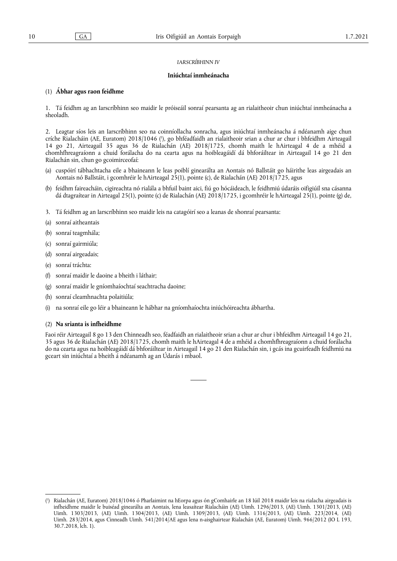# *IARSCRÍBHINN IV*

#### **Iniúchtaí inmheánacha**

# (1) **Ábhar agus raon feidhme**

1. Tá feidhm ag an Iarscríbhinn seo maidir le próiseáil sonraí pearsanta ag an rialaitheoir chun iniúchtaí inmheánacha a sheoladh.

<span id="page-9-1"></span>2. Leagtar síos leis an Iarscríbhinn seo na coinníollacha sonracha, agus iniúchtaí inmheánacha á ndéanamh aige chun críche Rialacháin [\(](#page-9-0)AE, Euratom) 2018/1046 ('), go bhféadfaidh an rialaitheoir srian a chur ar chur i bhfeidhm Airteagail 14 go 21, Airteagail 35 agus 36 de Rialachán (AE) 2018/1725, chomh maith le hAirteagal 4 de a mhéid a chomhfhreagraíonn a chuid forálacha do na cearta agus na hoibleagáidí dá bhforáiltear in Airteagail 14 go 21 den Rialachán sin, chun go gcoimirceofaí:

- (a) cuspóirí tábhachtacha eile a bhaineann le leas poiblí ginearálta an Aontais nó Ballstáit go háirithe leas airgeadais an Aontais nó Ballstáit, i gcomhréir le hAirteagal 25(1), pointe (c), de Rialachán (AE) 2018/1725, agus
- (b) feidhm faireacháin, cigireachta nó rialála a bhfuil baint aici, fiú go hócáideach, le feidhmiú údaráis oifigiúil sna cásanna dá dtagraítear in Airteagal 25(1), pointe (c) de Rialachán (AE) 2018/1725, i gcomhréir le hAirteagal 25(1), pointe (g) de,
- 3. Tá feidhm ag an Iarscríbhinn seo maidir leis na catagóirí seo a leanas de shonraí pearsanta:
- (a) sonraí aitheantais
- (b) sonraí teagmhála;
- (c) sonraí gairmiúla;
- (d) sonraí airgeadais;
- (e) sonraí tráchta:
- (f) sonraí maidir le daoine a bheith i láthair;
- (g) sonraí maidir le gníomhaíochtaí seachtracha daoine;
- (h) sonraí cleamhnachta polaitiúla;
- (i) na sonraí eile go léir a bhaineann le hábhar na gníomhaíochta iniúchóireachta ábhartha.

# (2) **Na srianta is infheidhme**

Faoi réir Airteagail 8 go 13 den Chinneadh seo, féadfaidh an rialaitheoir srian a chur ar chur i bhfeidhm Airteagail 14 go 21, 35 agus 36 de Rialachán (AE) 2018/1725, chomh maith le hAirteagal 4 de a mhéid a chomhfhreagraíonn a chuid forálacha do na cearta agus na hoibleagáidí dá bhforáiltear in Airteagail 14 go 21 den Rialachán sin, i gcás ina gcuirfeadh feidhmiú na gceart sin iniúchtaí a bheith á ndéanamh ag an Údarás i mbaol.

<span id="page-9-0"></span>[<sup>\(</sup>](#page-9-1) 1 ) Rialachán (AE, Euratom) 2018/1046 ó Pharlaimint na hEorpa agus ón gComhairle an 18 Iúil 2018 maidir leis na rialacha airgeadais is infheidhme maidir le buiséad ginearálta an Aontais, lena leasaítear Rialacháin (AE) Uimh. 1296/2013, (AE) Uimh. 1301/2013, (AE) Uimh. 1303/2013, (AE) Uimh. 1304/2013, (AE) Uimh. 1309/2013, (AE) Uimh. 1316/2013, (AE) Uimh. 223/2014, (AE) Uimh. 283/2014, agus Cinneadh Uimh. 541/2014/AE agus lena n-aisghairtear Rialachán (AE, Euratom) Uimh. 966/2012 (IO L 193, 30.7.2018, lch. 1).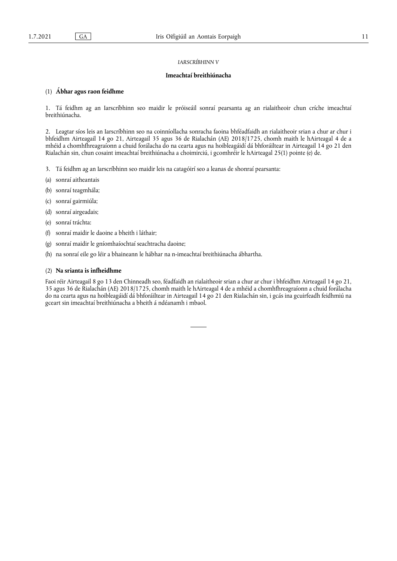# *IARSCRÍBHINN V*

#### **Imeachtaí breithiúnacha**

# (1) **Ábhar agus raon feidhme**

1. Tá feidhm ag an Iarscríbhinn seo maidir le próiseáil sonraí pearsanta ag an rialaitheoir chun críche imeachtaí breithiúnacha.

2. Leagtar síos leis an Iarscríbhinn seo na coinníollacha sonracha faoina bhféadfaidh an rialaitheoir srian a chur ar chur i bhfeidhm Airteagail 14 go 21, Airteagail 35 agus 36 de Rialachán (AE) 2018/1725, chomh maith le hAirteagal 4 de a mhéid a chomhfhreagraíonn a chuid forálacha do na cearta agus na hoibleagáidí dá bhforáiltear in Airteagail 14 go 21 den Rialachán sin, chun cosaint imeachtaí breithiúnacha a choimirciú, i gcomhréir le hAirteagal 25(1) pointe (e) de.

- 3. Tá feidhm ag an Iarscríbhinn seo maidir leis na catagóirí seo a leanas de shonraí pearsanta:
- (a) sonraí aitheantais
- (b) sonraí teagmhála;
- (c) sonraí gairmiúla;
- (d) sonraí airgeadais;
- (e) sonraí tráchta:
- (f) sonraí maidir le daoine a bheith i láthair;
- (g) sonraí maidir le gníomhaíochtaí seachtracha daoine;
- (h) na sonraí eile go léir a bhaineann le hábhar na n-imeachtaí breithiúnacha ábhartha.

#### (2) **Na srianta is infheidhme**

Faoi réir Airteagail 8 go 13 den Chinneadh seo, féadfaidh an rialaitheoir srian a chur ar chur i bhfeidhm Airteagail 14 go 21, 35 agus 36 de Rialachán (AE) 2018/1725, chomh maith le hAirteagal 4 de a mhéid a chomhfhreagraíonn a chuid forálacha do na cearta agus na hoibleagáidí dá bhforáiltear in Airteagail 14 go 21 den Rialachán sin, i gcás ina gcuirfeadh feidhmiú na gceart sin imeachtaí breithiúnacha a bheith á ndéanamh i mbaol.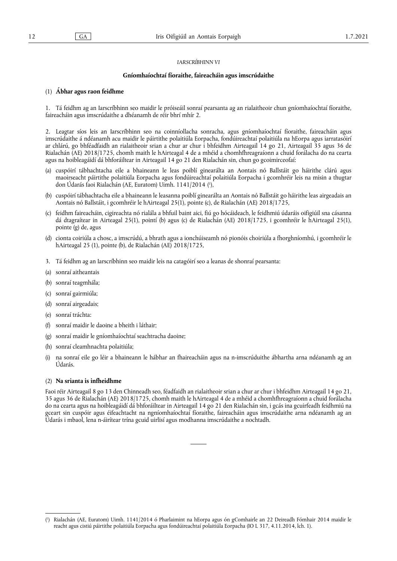#### *IARSCRÍBHINN VI*

#### **Gníomhaíochtaí fíoraithe, faireacháin agus imscrúdaithe**

# (1) **Ábhar agus raon feidhme**

1. Tá feidhm ag an Iarscríbhinn seo maidir le próiseáil sonraí pearsanta ag an rialaitheoir chun gníomhaíochtaí fíoraithe, faireacháin agus imscrúdaithe a dhéanamh de réir bhrí mhír 2.

2. Leagtar síos leis an Iarscríbhinn seo na coinníollacha sonracha, agus gníomhaíochtaí fíoraithe, faireacháin agus imscrúdaithe á ndéanamh acu maidir le páirtithe polaitiúla Eorpacha, fondúireachtaí polaitiúla na hEorpa agus iarratasóirí ar chlárú, go bhféadfaidh an rialaitheoir srian a chur ar chur i bhfeidhm Airteagail 14 go 21, Airteagail 35 agus 36 de Rialachán (AE) 2018/1725, chomh maith le hAirteagal 4 de a mhéid a chomhfhreagraíonn a chuid forálacha do na cearta agus na hoibleagáidí dá bhforáiltear in Airteagail 14 go 21 den Rialachán sin, chun go gcoimirceofaí:

- <span id="page-11-1"></span>(a) cuspóirí tábhachtacha eile a bhaineann le leas poiblí ginearálta an Aontais nó Ballstáit go háirithe clárú agus maoirseacht páirtithe polaitiúla Eorpacha agus fondúireachtaí polaitiúla Eorpacha i gcomhréir leis na misin a thugtar don Údarás faoi Rialachán (AE, Euratom) Uimh. 1141/2014 ( 1 [\),](#page-11-0)
- (b) cuspóirí tábhachtacha eile a bhaineann le leasanna poiblí ginearálta an Aontais nó Ballstáit go háirithe leas airgeadais an Aontais nó Ballstáit, i gcomhréir le hAirteagal 25(1), pointe (c), de Rialachán (AE) 2018/1725,
- (c) feidhm faireacháin, cigireachta nó rialála a bhfuil baint aici, fiú go hócáideach, le feidhmiú údaráis oifigiúil sna cásanna dá dtagraítear in Airteagal 25(1), pointí (b) agus (c) de Rialachán (AE) 2018/1725, i gcomhréir le hAirteagal 25(1), pointe (g) de, agus
- (d) cionta coiriúla a chosc, a imscrúdú, a bhrath agus a ionchúiseamh nó pionóis choiriúla a fhorghníomhú, i gcomhréir le hAirteagal 25 (1), pointe (b), de Rialachán (AE) 2018/1725,
- 3. Tá feidhm ag an Iarscríbhinn seo maidir leis na catagóirí seo a leanas de shonraí pearsanta:
- (a) sonraí aitheantais
- (b) sonraí teagmhála;
- (c) sonraí gairmiúla;
- (d) sonraí airgeadais;
- (e) sonraí tráchta:
- (f) sonraí maidir le daoine a bheith i láthair;
- (g) sonraí maidir le gníomhaíochtaí seachtracha daoine;
- (h) sonraí cleamhnachta polaitiúla;
- (i) na sonraí eile go léir a bhaineann le hábhar an fhaireacháin agus na n-imscrúduithe ábhartha arna ndéanamh ag an Údarás.

#### (2) **Na srianta is infheidhme**

Faoi réir Airteagail 8 go 13 den Chinneadh seo, féadfaidh an rialaitheoir srian a chur ar chur i bhfeidhm Airteagail 14 go 21, 35 agus 36 de Rialachán (AE) 2018/1725, chomh maith le hAirteagal 4 de a mhéid a chomhfhreagraíonn a chuid forálacha do na cearta agus na hoibleagáidí dá bhforáiltear in Airteagail 14 go 21 den Rialachán sin, i gcás ina gcuirfeadh feidhmiú na gceart sin cuspóir agus éifeachtacht na ngníomhaíochtaí fíoraithe, faireacháin agus imscrúdaithe arna ndéanamh ag an Údarás i mbaol, lena n-áirítear trína gcuid uirlisí agus modhanna imscrúdaithe a nochtadh.

<span id="page-11-0"></span>[<sup>\(</sup>](#page-11-1) 1 ) Rialachán (AE, Euratom) Uimh. 1141/2014 ó Pharlaimint na hEorpa agus ón gComhairle an 22 Deireadh Fómhair 2014 maidir le reacht agus cistiú páirtithe polaitiúla Eorpacha agus fondúireachtaí polaitiúla Eorpacha (IO L 317, 4.11.2014, lch. 1).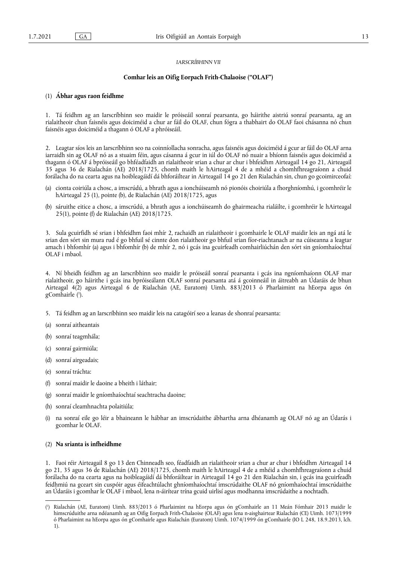# *IARSCRÍBHINN VII*

# **Comhar leis an Oifig Eorpach Frith-Chalaoise ("OLAF")**

## (1) **Ábhar agus raon feidhme**

1. Tá feidhm ag an Iarscríbhinn seo maidir le próiseáil sonraí pearsanta, go háirithe aistriú sonraí pearsanta, ag an rialaitheoir chun faisnéis agus doiciméid a chur ar fáil do OLAF, chun fógra a thabhairt do OLAF faoi chásanna nó chun faisnéis agus doiciméid a thagann ó OLAF a phróiseáil.

2. Leagtar síos leis an Iarscríbhinn seo na coinníollacha sonracha, agus faisnéis agus doiciméid á gcur ar fáil do OLAF arna iarraidh sin ag OLAF nó as a stuaim féin, agus cásanna á gcur in iúl do OLAF nó nuair a bhíonn faisnéis agus doiciméid a thagann ó OLAF á bpróiseáil go bhféadfaidh an rialaitheoir srian a chur ar chur i bhfeidhm Airteagail 14 go 21, Airteagail 35 agus 36 de Rialachán (AE) 2018/1725, chomh maith le hAirteagal 4 de a mhéid a chomhfhreagraíonn a chuid forálacha do na cearta agus na hoibleagáidí dá bhforáiltear in Airteagail 14 go 21 den Rialachán sin, chun go gcoimirceofaí:

- (a) cionta coiriúla a chosc, a imscrúdú, a bhrath agus a ionchúiseamh nó pionóis choiriúla a fhorghníomhú, i gcomhréir le hAirteagal 25 (1), pointe (b), de Rialachán (AE) 2018/1725, agus
- (b) sáruithe eitice a chosc, a imscrúdú, a bhrath agus a ionchúiseamh do ghairmeacha rialáilte, i gcomhréir le hAirteagal 25(1), pointe (f) de Rialachán (AE) 2018/1725.

3. Sula gcuirfidh sé srian i bhfeidhm faoi mhír 2, rachaidh an rialaitheoir i gcomhairle le OLAF maidir leis an ngá atá le srian den sórt sin mura rud é go bhfuil sé cinnte don rialaitheoir go bhfuil srian fíor-riachtanach ar na cúiseanna a leagtar amach i bhfomhír (a) agus i bhfomhír (b) de mhír 2, nó i gcás ina gcuirfeadh comhairliúchán den sórt sin gníomhaíochtaí OLAF i mbaol.

<span id="page-12-1"></span>4. Ní bheidh feidhm ag an Iarscríbhinn seo maidir le próiseáil sonraí pearsanta i gcás ina ngníomhaíonn OLAF mar rialaitheoir, go háirithe i gcás ina bpróiseálann OLAF sonraí pearsanta atá á gcoinneáil in áitreabh an Údaráis de bhun Airteagal 4(2) agus Airteagal 6 de Rialachán (AE, Euratom) Uimh. 883/2013 ó Pharlaimint na hEorpa agus ón gComhairle [\(](#page-12-0) 1 ).

- 5. Tá feidhm ag an Iarscríbhinn seo maidir leis na catagóirí seo a leanas de shonraí pearsanta:
- (a) sonraí aitheantais
- (b) sonraí teagmhála;
- (c) sonraí gairmiúla;
- (d) sonraí airgeadais;
- (e) sonraí tráchta:
- (f) sonraí maidir le daoine a bheith i láthair;
- (g) sonraí maidir le gníomhaíochtaí seachtracha daoine;
- (h) sonraí cleamhnachta polaitiúla;
- na sonraí eile go léir a bhaineann le hábhar an imscrúdaithe ábhartha arna dhéanamh ag OLAF nó ag an Údarás i gcomhar le OLAF.

#### (2) **Na srianta is infheidhme**

1. Faoi réir Airteagail 8 go 13 den Chinneadh seo, féadfaidh an rialaitheoir srian a chur ar chur i bhfeidhm Airteagail 14 go 21, 35 agus 36 de Rialachán (AE) 2018/1725, chomh maith le hAirteagal 4 de a mhéid a chomhfhreagraíonn a chuid forálacha do na cearta agus na hoibleagáidí dá bhforáiltear in Airteagail 14 go 21 den Rialachán sin, i gcás ina gcuirfeadh feidhmiú na gceart sin cuspóir agus éifeachtúlacht ghníomhaíochtaí imscrúdaithe OLAF nó gníomhaíochtaí imscrúdaithe an Údaráis i gcomhar le OLAF i mbaol, lena n-áirítear trína gcuid uirlisí agus modhanna imscrúdaithe a nochtadh.

<span id="page-12-0"></span>[<sup>\(</sup>](#page-12-1) 1 ) Rialachán (AE, Euratom) Uimh. 883/2013 ó Pharlaimint na hEorpa agus ón gComhairle an 11 Meán Fómhair 2013 maidir le himscrúduithe arna ndéanamh ag an Oifig Eorpach Frith-Chalaoise (OLAF) agus lena n-aisghairtear Rialachán (CE) Uimh. 1073/1999 ó Pharlaimint na hEorpa agus ón gComhairle agus Rialachán (Euratom) Uimh. 1074/1999 ón gComhairle (IO L 248, 18.9.2013, lch. 1).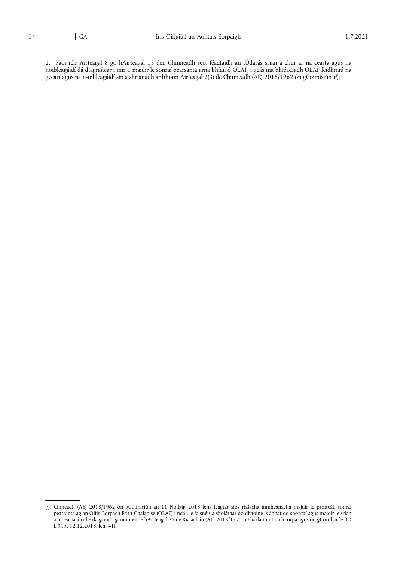<span id="page-13-1"></span>2. Faoi réir Airteagal 8 go hAirteagal 13 den Chinneadh seo, féadfaidh an tÚdarás srian a chur ar na cearta agus na hoibleagáidí dá dtagraítear i mír 1 maidir le sonraí pearsanta arna bhfáil ó OLAF, i gcás ina bhféadfadh OLAF feidhmiú na gceart agus na n-oibleagáidí sin a shrianadh ar bhonn Airteagal 2[\(](#page-13-0)3) de Chinneadh (AE) 2018/1962 ón gCoimisiún (ʾ).

<span id="page-13-0"></span>[<sup>\(</sup>](#page-13-1) 2 ) Cinneadh (AE) 2018/1962 ón gCoimisiún an 11 Nollaig 2018 lena leagtar síos rialacha inmheánacha maidir le próiseáil sonraí pearsanta ag an Oifig Eorpach Frith-Chalaoise (OLAF) i ndáil le faisnéis a sholáthar do dhaoine is ábhar do shonraí agus maidir le srian ar chearta áirithe dá gcuid i gcomhréir le hAirteagal 25 de Rialachán (AE) 2018/1725 ó Pharlaimint na hEorpa agus ón gComhairle (IO L 315, 12.12.2018, lch. 41).